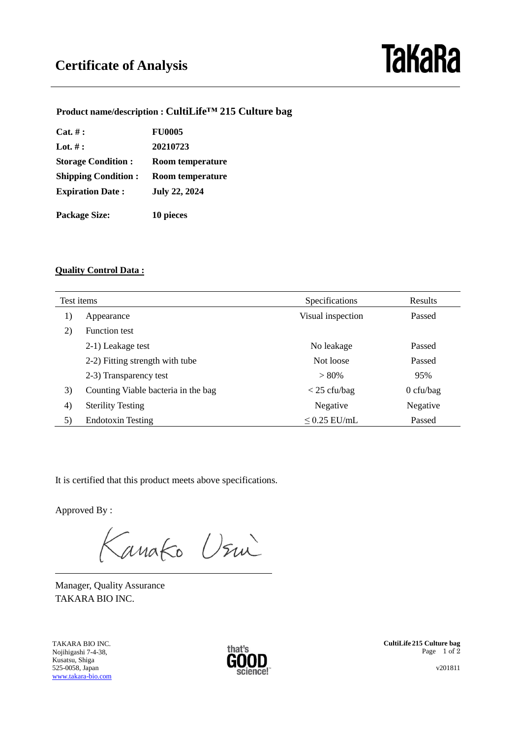## **TaKaRa**

**Product name/description : CultiLife™ 215 Culture bag**

| Cat. #:                    | <b>FU0005</b>        |  |
|----------------------------|----------------------|--|
| Lot. $#$ :                 | 20210723             |  |
| <b>Storage Condition:</b>  | Room temperature     |  |
| <b>Shipping Condition:</b> | Room temperature     |  |
| <b>Expiration Date:</b>    | <b>July 22, 2024</b> |  |
| <b>Package Size:</b>       | 10 pieces            |  |

## **Quality Control Data :**

| Test items        |                                     | Specifications    | <b>Results</b> |
|-------------------|-------------------------------------|-------------------|----------------|
| 1)                | Appearance                          | Visual inspection | Passed         |
| 2)                | <b>Function test</b>                |                   |                |
|                   | 2-1) Leakage test                   | No leakage        | Passed         |
|                   | 2-2) Fitting strength with tube     | Not loose         | Passed         |
|                   | 2-3) Transparency test              | $> 80\%$          | 95%            |
| 3)                | Counting Viable bacteria in the bag | $<$ 25 cfu/bag    | $0$ cfu/bag    |
| $\left( 4\right)$ | <b>Sterility Testing</b>            | Negative          | Negative       |
| 5)                | <b>Endotoxin Testing</b>            | $\leq$ 0.25 EU/mL | Passed         |

It is certified that this product meets above specifications.

Approved By :

 $\overline{a}$ 

Kanako Usui

Manager, Quality Assurance TAKARA BIO INC.

TAKARA BIO INC. Nojihigashi 7-4-38, Kusatsu, Shiga 525-0058, Japan [www.takara-bio.com](http://www.takara-bio.com/)



**CultiLife 215 Culture bag** Page 1 of 2